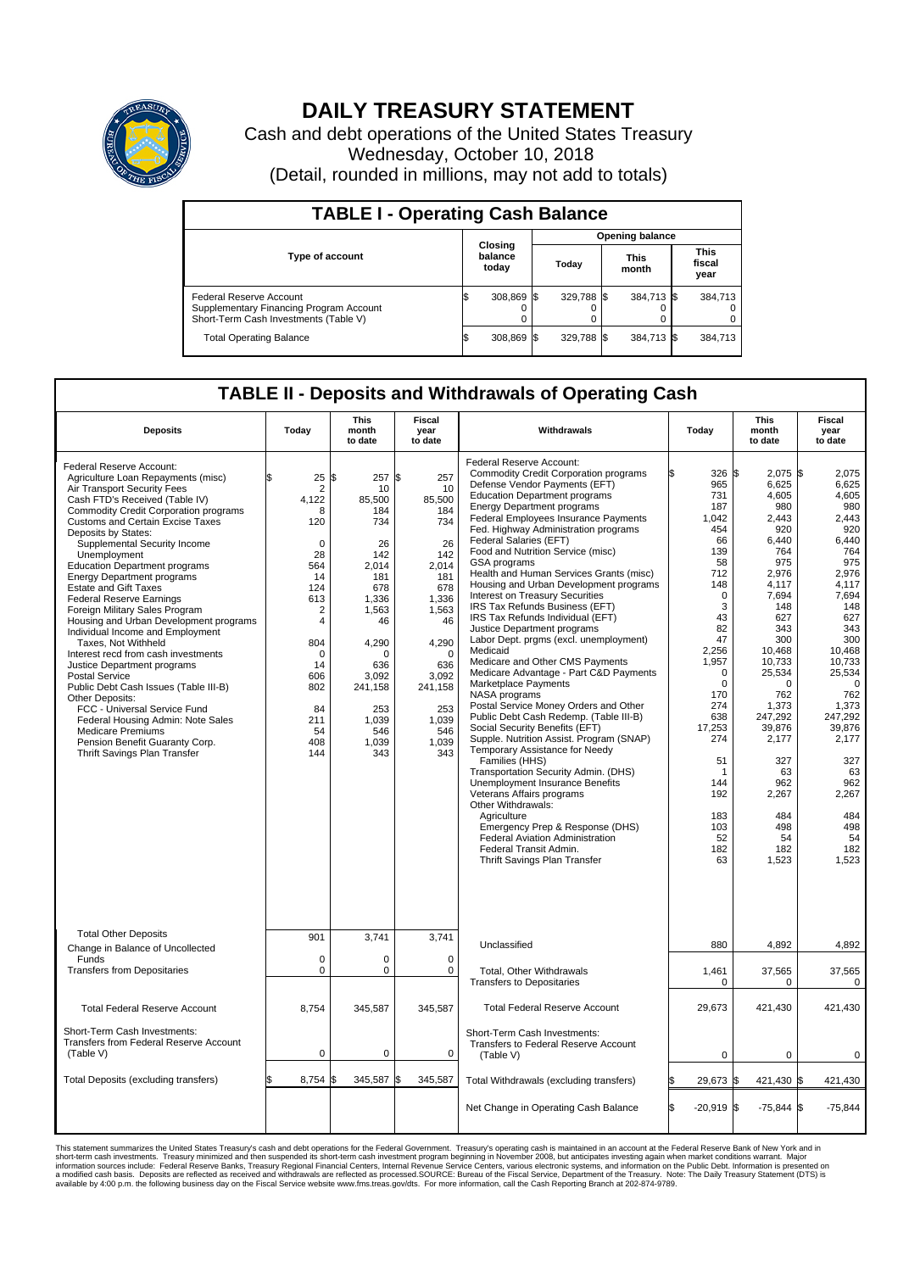

## **DAILY TREASURY STATEMENT**

Cash and debt operations of the United States Treasury Wednesday, October 10, 2018 (Detail, rounded in millions, may not add to totals)

| <b>TABLE I - Operating Cash Balance</b>                                                                     |  |                             |                        |            |  |                      |  |                               |  |  |
|-------------------------------------------------------------------------------------------------------------|--|-----------------------------|------------------------|------------|--|----------------------|--|-------------------------------|--|--|
|                                                                                                             |  |                             | <b>Opening balance</b> |            |  |                      |  |                               |  |  |
| <b>Type of account</b>                                                                                      |  | Closing<br>balance<br>today |                        | Today      |  | <b>This</b><br>month |  | <b>This</b><br>fiscal<br>year |  |  |
| Federal Reserve Account<br>Supplementary Financing Program Account<br>Short-Term Cash Investments (Table V) |  | 308,869 \$                  |                        | 329.788 \$ |  | 384,713 \$           |  | 384,713                       |  |  |
| <b>Total Operating Balance</b>                                                                              |  | 308,869 \$                  |                        | 329,788 \$ |  | 384,713 \$           |  | 384,713                       |  |  |

## **TABLE II - Deposits and Withdrawals of Operating Cash**

| <b>Deposits</b>                                                                                                                                                                                                                                                                                                                                                                                                                                                                                                                                                                                                                                                                                                                                                                                                                                                                                                        | Today                                                                                                                                                                                                    | <b>This</b><br>month<br>to date                                                                                                                                                                | <b>Fiscal</b><br>year<br>to date                                                                                                                                                     | Withdrawals                                                                                                                                                                                                                                                                                                                                                                                                                                                                                                                                                                                                                                                                                                                                                                                                                                                                                                                                                                                                                                                                                                                                                                                                                                                      | Today                                                                                                                                                                                                                                                     | <b>This</b><br>month<br>to date                                                                                                                                                                                                                                                | <b>Fiscal</b><br>year<br>to date                                                                                                                                                                                                                                                                   |
|------------------------------------------------------------------------------------------------------------------------------------------------------------------------------------------------------------------------------------------------------------------------------------------------------------------------------------------------------------------------------------------------------------------------------------------------------------------------------------------------------------------------------------------------------------------------------------------------------------------------------------------------------------------------------------------------------------------------------------------------------------------------------------------------------------------------------------------------------------------------------------------------------------------------|----------------------------------------------------------------------------------------------------------------------------------------------------------------------------------------------------------|------------------------------------------------------------------------------------------------------------------------------------------------------------------------------------------------|--------------------------------------------------------------------------------------------------------------------------------------------------------------------------------------|------------------------------------------------------------------------------------------------------------------------------------------------------------------------------------------------------------------------------------------------------------------------------------------------------------------------------------------------------------------------------------------------------------------------------------------------------------------------------------------------------------------------------------------------------------------------------------------------------------------------------------------------------------------------------------------------------------------------------------------------------------------------------------------------------------------------------------------------------------------------------------------------------------------------------------------------------------------------------------------------------------------------------------------------------------------------------------------------------------------------------------------------------------------------------------------------------------------------------------------------------------------|-----------------------------------------------------------------------------------------------------------------------------------------------------------------------------------------------------------------------------------------------------------|--------------------------------------------------------------------------------------------------------------------------------------------------------------------------------------------------------------------------------------------------------------------------------|----------------------------------------------------------------------------------------------------------------------------------------------------------------------------------------------------------------------------------------------------------------------------------------------------|
| Federal Reserve Account:<br>Agriculture Loan Repayments (misc)<br>Air Transport Security Fees<br>Cash FTD's Received (Table IV)<br><b>Commodity Credit Corporation programs</b><br><b>Customs and Certain Excise Taxes</b><br>Deposits by States:<br>Supplemental Security Income<br>Unemployment<br><b>Education Department programs</b><br><b>Energy Department programs</b><br><b>Estate and Gift Taxes</b><br><b>Federal Reserve Earnings</b><br>Foreign Military Sales Program<br>Housing and Urban Development programs<br>Individual Income and Employment<br>Taxes. Not Withheld<br>Interest recd from cash investments<br>Justice Department programs<br><b>Postal Service</b><br>Public Debt Cash Issues (Table III-B)<br>Other Deposits:<br>FCC - Universal Service Fund<br>Federal Housing Admin: Note Sales<br><b>Medicare Premiums</b><br>Pension Benefit Guaranty Corp.<br>Thrift Savings Plan Transfer | \$<br>25<br>$\overline{2}$<br>4.122<br>8<br>120<br>$\Omega$<br>28<br>564<br>14<br>124<br>613<br>$\overline{2}$<br>$\overline{4}$<br>804<br>$\Omega$<br>14<br>606<br>802<br>84<br>211<br>54<br>408<br>144 | 257 \$<br>l\$<br>10<br>85.500<br>184<br>734<br>26<br>142<br>2,014<br>181<br>678<br>1,336<br>1,563<br>46<br>4,290<br>$\Omega$<br>636<br>3,092<br>241,158<br>253<br>1.039<br>546<br>1,039<br>343 | 257<br>10<br>85,500<br>184<br>734<br>26<br>142<br>2,014<br>181<br>678<br>1,336<br>1,563<br>46<br>4,290<br>$\Omega$<br>636<br>3,092<br>241,158<br>253<br>1.039<br>546<br>1,039<br>343 | Federal Reserve Account:<br><b>Commodity Credit Corporation programs</b><br>Defense Vendor Payments (EFT)<br><b>Education Department programs</b><br><b>Energy Department programs</b><br>Federal Employees Insurance Payments<br>Fed. Highway Administration programs<br>Federal Salaries (EFT)<br>Food and Nutrition Service (misc)<br>GSA programs<br>Health and Human Services Grants (misc)<br>Housing and Urban Development programs<br>Interest on Treasury Securities<br>IRS Tax Refunds Business (EFT)<br>IRS Tax Refunds Individual (EFT)<br>Justice Department programs<br>Labor Dept. prgms (excl. unemployment)<br>Medicaid<br>Medicare and Other CMS Payments<br>Medicare Advantage - Part C&D Payments<br>Marketplace Payments<br>NASA programs<br>Postal Service Money Orders and Other<br>Public Debt Cash Redemp. (Table III-B)<br>Social Security Benefits (EFT)<br>Supple. Nutrition Assist. Program (SNAP)<br>Temporary Assistance for Needy<br>Families (HHS)<br>Transportation Security Admin. (DHS)<br>Unemployment Insurance Benefits<br>Veterans Affairs programs<br>Other Withdrawals:<br>Agriculture<br>Emergency Prep & Response (DHS)<br>Federal Aviation Administration<br>Federal Transit Admin.<br>Thrift Savings Plan Transfer | 326 \$<br>965<br>731<br>187<br>1.042<br>454<br>66<br>139<br>58<br>712<br>148<br>$\mathbf 0$<br>3<br>43<br>82<br>47<br>2,256<br>1,957<br>0<br>$\mathbf 0$<br>170<br>274<br>638<br>17,253<br>274<br>51<br>-1<br>144<br>192<br>183<br>103<br>52<br>182<br>63 | 2,075<br>6,625<br>4,605<br>980<br>2.443<br>920<br>6,440<br>764<br>975<br>2,976<br>4.117<br>7,694<br>148<br>627<br>343<br>300<br>10,468<br>10,733<br>25,534<br>0<br>762<br>1,373<br>247,292<br>39,876<br>2,177<br>327<br>63<br>962<br>2,267<br>484<br>498<br>54<br>182<br>1,523 | l\$<br>2,075<br>6,625<br>4,605<br>980<br>2.443<br>920<br>6,440<br>764<br>975<br>2,976<br>4.117<br>7,694<br>148<br>627<br>343<br>300<br>10.468<br>10,733<br>25,534<br>$\overline{0}$<br>762<br>1,373<br>247,292<br>39,876<br>2,177<br>327<br>63<br>962<br>2,267<br>484<br>498<br>54<br>182<br>1.523 |
| <b>Total Other Deposits</b><br>Change in Balance of Uncollected                                                                                                                                                                                                                                                                                                                                                                                                                                                                                                                                                                                                                                                                                                                                                                                                                                                        | 901                                                                                                                                                                                                      | 3,741                                                                                                                                                                                          | 3,741                                                                                                                                                                                | Unclassified                                                                                                                                                                                                                                                                                                                                                                                                                                                                                                                                                                                                                                                                                                                                                                                                                                                                                                                                                                                                                                                                                                                                                                                                                                                     | 880                                                                                                                                                                                                                                                       | 4,892                                                                                                                                                                                                                                                                          | 4,892                                                                                                                                                                                                                                                                                              |
| Funds<br>$\mathbf 0$<br>0<br><b>Transfers from Depositaries</b><br>$\mathbf 0$<br>0                                                                                                                                                                                                                                                                                                                                                                                                                                                                                                                                                                                                                                                                                                                                                                                                                                    |                                                                                                                                                                                                          | $\mathbf 0$<br>$\mathbf 0$                                                                                                                                                                     | Total, Other Withdrawals<br><b>Transfers to Depositaries</b>                                                                                                                         | 1,461<br>0                                                                                                                                                                                                                                                                                                                                                                                                                                                                                                                                                                                                                                                                                                                                                                                                                                                                                                                                                                                                                                                                                                                                                                                                                                                       | 37,565<br>0                                                                                                                                                                                                                                               | 37,565<br>0                                                                                                                                                                                                                                                                    |                                                                                                                                                                                                                                                                                                    |
| <b>Total Federal Reserve Account</b>                                                                                                                                                                                                                                                                                                                                                                                                                                                                                                                                                                                                                                                                                                                                                                                                                                                                                   | 8,754                                                                                                                                                                                                    | 345,587                                                                                                                                                                                        | 345,587                                                                                                                                                                              | <b>Total Federal Reserve Account</b>                                                                                                                                                                                                                                                                                                                                                                                                                                                                                                                                                                                                                                                                                                                                                                                                                                                                                                                                                                                                                                                                                                                                                                                                                             | 29,673                                                                                                                                                                                                                                                    | 421,430                                                                                                                                                                                                                                                                        | 421,430                                                                                                                                                                                                                                                                                            |
| Short-Term Cash Investments:<br>Transfers from Federal Reserve Account<br>(Table V)                                                                                                                                                                                                                                                                                                                                                                                                                                                                                                                                                                                                                                                                                                                                                                                                                                    | $\mathbf 0$                                                                                                                                                                                              | 0                                                                                                                                                                                              | 0                                                                                                                                                                                    | Short-Term Cash Investments:<br>Transfers to Federal Reserve Account<br>(Table V)                                                                                                                                                                                                                                                                                                                                                                                                                                                                                                                                                                                                                                                                                                                                                                                                                                                                                                                                                                                                                                                                                                                                                                                | $\mathbf 0$                                                                                                                                                                                                                                               | $\mathbf 0$                                                                                                                                                                                                                                                                    | 0                                                                                                                                                                                                                                                                                                  |
| Total Deposits (excluding transfers)                                                                                                                                                                                                                                                                                                                                                                                                                                                                                                                                                                                                                                                                                                                                                                                                                                                                                   | 8,754                                                                                                                                                                                                    | 345,587 \$<br>\$                                                                                                                                                                               | 345,587                                                                                                                                                                              | Total Withdrawals (excluding transfers)                                                                                                                                                                                                                                                                                                                                                                                                                                                                                                                                                                                                                                                                                                                                                                                                                                                                                                                                                                                                                                                                                                                                                                                                                          | 29,673 \$                                                                                                                                                                                                                                                 | 421,430 \$                                                                                                                                                                                                                                                                     | 421,430                                                                                                                                                                                                                                                                                            |
|                                                                                                                                                                                                                                                                                                                                                                                                                                                                                                                                                                                                                                                                                                                                                                                                                                                                                                                        |                                                                                                                                                                                                          |                                                                                                                                                                                                |                                                                                                                                                                                      | Net Change in Operating Cash Balance                                                                                                                                                                                                                                                                                                                                                                                                                                                                                                                                                                                                                                                                                                                                                                                                                                                                                                                                                                                                                                                                                                                                                                                                                             | ß.<br>$-20.919$ \$                                                                                                                                                                                                                                        | $-75,844$ \$                                                                                                                                                                                                                                                                   | $-75,844$                                                                                                                                                                                                                                                                                          |

This statement summarizes the United States Treasury's cash and debt operations for the Federal Government. Treasury soperating in November 2008, but anticiarded in a cocount at the Federal Reserve Bank of New York and in<br>